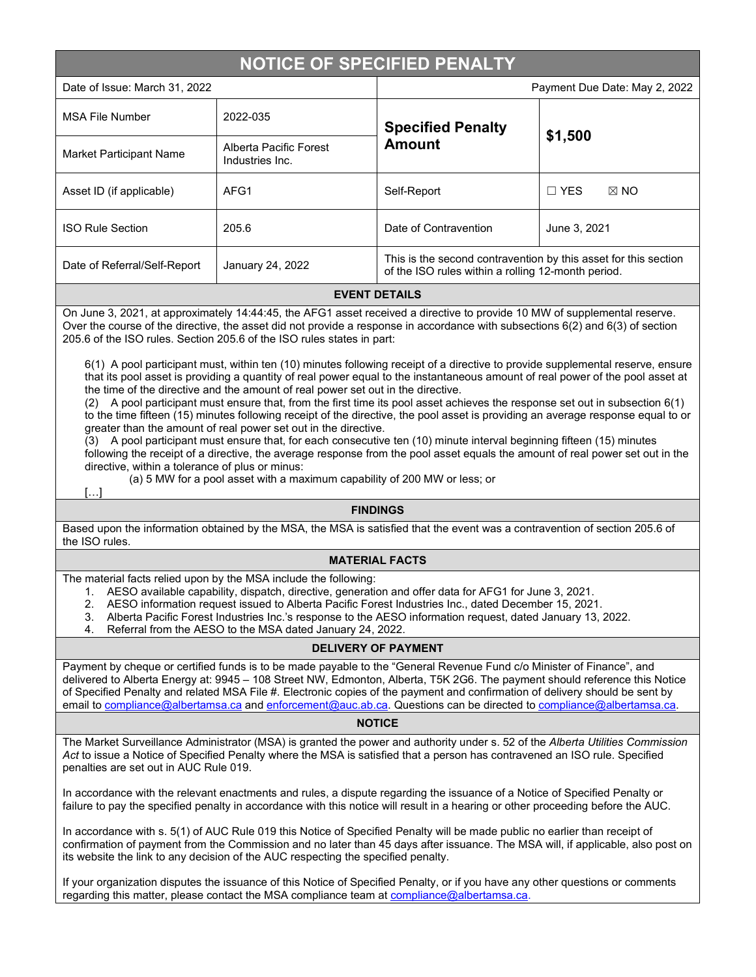# **NOTICE OF SPECIFIED PENALTY**

| Date of Issue: March 31, 2022 |                                           | Payment Due Date: May 2, 2022                                                                                         |                              |
|-------------------------------|-------------------------------------------|-----------------------------------------------------------------------------------------------------------------------|------------------------------|
| <b>MSA File Number</b>        | 2022-035                                  | <b>Specified Penalty</b><br><b>Amount</b>                                                                             | \$1,500                      |
| Market Participant Name       | Alberta Pacific Forest<br>Industries Inc. |                                                                                                                       |                              |
| Asset ID (if applicable)      | AFG1                                      | Self-Report                                                                                                           | $\Box$ YES<br>$\boxtimes$ NO |
| <b>ISO Rule Section</b>       | 205.6                                     | Date of Contravention                                                                                                 | June 3, 2021                 |
| Date of Referral/Self-Report  | January 24, 2022                          | This is the second contravention by this asset for this section<br>of the ISO rules within a rolling 12-month period. |                              |

#### **EVENT DETAILS**

On June 3, 2021, at approximately 14:44:45, the AFG1 asset received a directive to provide 10 MW of supplemental reserve. Over the course of the directive, the asset did not provide a response in accordance with subsections 6(2) and 6(3) of section 205.6 of the ISO rules. Section 205.6 of the ISO rules states in part:

6(1) A pool participant must, within ten (10) minutes following receipt of a directive to provide supplemental reserve, ensure that its pool asset is providing a quantity of real power equal to the instantaneous amount of real power of the pool asset at the time of the directive and the amount of real power set out in the directive.

(2) A pool participant must ensure that, from the first time its pool asset achieves the response set out in subsection 6(1) to the time fifteen (15) minutes following receipt of the directive, the pool asset is providing an average response equal to or greater than the amount of real power set out in the directive.

(3) A pool participant must ensure that, for each consecutive ten (10) minute interval beginning fifteen (15) minutes following the receipt of a directive, the average response from the pool asset equals the amount of real power set out in the directive, within a tolerance of plus or minus:

(a) 5 MW for a pool asset with a maximum capability of 200 MW or less; or

[…]

### **FINDINGS**

Based upon the information obtained by the MSA, the MSA is satisfied that the event was a contravention of section 205.6 of the ISO rules.

#### **MATERIAL FACTS**

The material facts relied upon by the MSA include the following:

- 1. AESO available capability, dispatch, directive, generation and offer data for AFG1 for June 3, 2021.
- 2. AESO information request issued to Alberta Pacific Forest Industries Inc., dated December 15, 2021.
- 3. Alberta Pacific Forest Industries Inc.'s response to the AESO information request, dated January 13, 2022.
- 4. Referral from the AESO to the MSA dated January 24, 2022.

## **DELIVERY OF PAYMENT**

Payment by cheque or certified funds is to be made payable to the "General Revenue Fund c/o Minister of Finance", and delivered to Alberta Energy at: 9945 – 108 Street NW, Edmonton, Alberta, T5K 2G6. The payment should reference this Notice of Specified Penalty and related MSA File #. Electronic copies of the payment and confirmation of delivery should be sent by email to [compliance@albertamsa.ca](mailto:compliance@albertamsa.ca) and [enforcement@auc.ab.ca.](mailto:enforcement@auc.ab.ca) Questions can be directed to [compliance@albertamsa.ca.](mailto:compliance@albertamsa.ca)

#### **NOTICE**

The Market Surveillance Administrator (MSA) is granted the power and authority under s. 52 of the *Alberta Utilities Commission Act* to issue a Notice of Specified Penalty where the MSA is satisfied that a person has contravened an ISO rule. Specified penalties are set out in AUC Rule 019.

In accordance with the relevant enactments and rules, a dispute regarding the issuance of a Notice of Specified Penalty or failure to pay the specified penalty in accordance with this notice will result in a hearing or other proceeding before the AUC.

In accordance with s. 5(1) of AUC Rule 019 this Notice of Specified Penalty will be made public no earlier than receipt of confirmation of payment from the Commission and no later than 45 days after issuance. The MSA will, if applicable, also post on its website the link to any decision of the AUC respecting the specified penalty.

If your organization disputes the issuance of this Notice of Specified Penalty, or if you have any other questions or comments regarding this matter, please contact the MSA compliance team a[t compliance@albertamsa.ca.](mailto:compliance@albertamsa.ca)